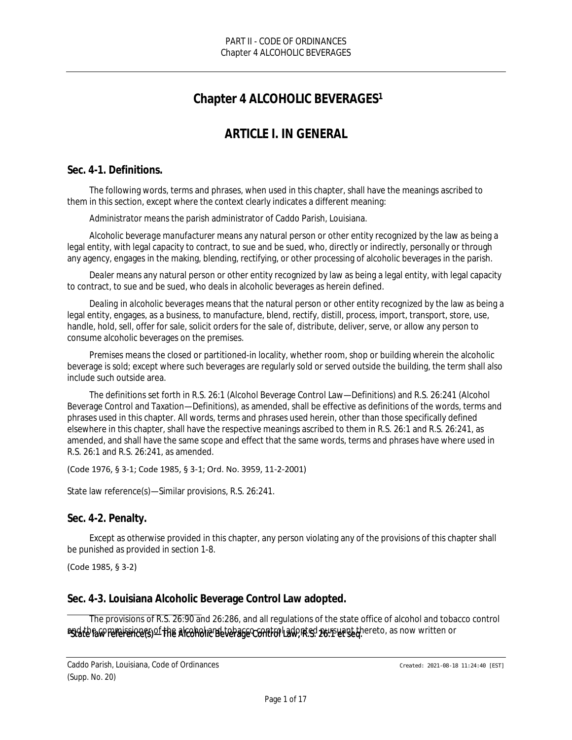# **Chapter 4 ALCOHOLIC BEVERAGES<sup>1</sup>**

# *ARTICLE I. IN GENERAL*

## **Sec. 4-1. Definitions.**

The following words, terms and phrases, when used in this chapter, shall have the meanings ascribed to them in this section, except where the context clearly indicates a different meaning:

*Administrator* means the parish administrator of Caddo Parish, Louisiana.

*Alcoholic beverage manufacturer* means any natural person or other entity recognized by the law as being a legal entity, with legal capacity to contract, to sue and be sued, who, directly or indirectly, personally or through any agency, engages in the making, blending, rectifying, or other processing of alcoholic beverages in the parish.

*Dealer* means any natural person or other entity recognized by law as being a legal entity, with legal capacity to contract, to sue and be sued, who deals in alcoholic beverages as herein defined.

*Dealing in alcoholic beverages* means that the natural person or other entity recognized by the law as being a legal entity, engages, as a business, to manufacture, blend, rectify, distill, process, import, transport, store, use, handle, hold, sell, offer for sale, solicit orders for the sale of, distribute, deliver, serve, or allow any person to consume alcoholic beverages on the premises.

*Premises* means the closed or partitioned-in locality, whether room, shop or building wherein the alcoholic beverage is sold; except where such beverages are regularly sold or served outside the building, the term shall also include such outside area.

The definitions set forth in R.S. 26:1 (Alcohol Beverage Control Law—Definitions) and R.S. 26:241 (Alcohol Beverage Control and Taxation—Definitions), as amended, shall be effective as definitions of the words, terms and phrases used in this chapter. All words, terms and phrases used herein, other than those specifically defined elsewhere in this chapter, shall have the respective meanings ascribed to them in R.S. 26:1 and R.S. 26:241, as amended, and shall have the same scope and effect that the same words, terms and phrases have where used in R.S. 26:1 and R.S. 26:241, as amended.

#### (Code 1976, § 3-1; Code 1985, § 3-1; Ord. No. 3959, 11-2-2001)

State law reference(s)—Similar provisions, R.S. 26:241.

#### **Sec. 4-2. Penalty.**

Except as otherwise provided in this chapter, any person violating any of the provisions of this chapter shall be punished as provided in section 1-8.

(Code 1985, § 3-2)

#### **Sec. 4-3. Louisiana Alcoholic Beverage Control Law adopted.**

as dith a w reference (s) of the alcoholic Beverage Control adopted pursuant thereto, as now written or The provisions of R.S. 26:90 and 26:286, and all regulations of the state office of alcohol and tobacco control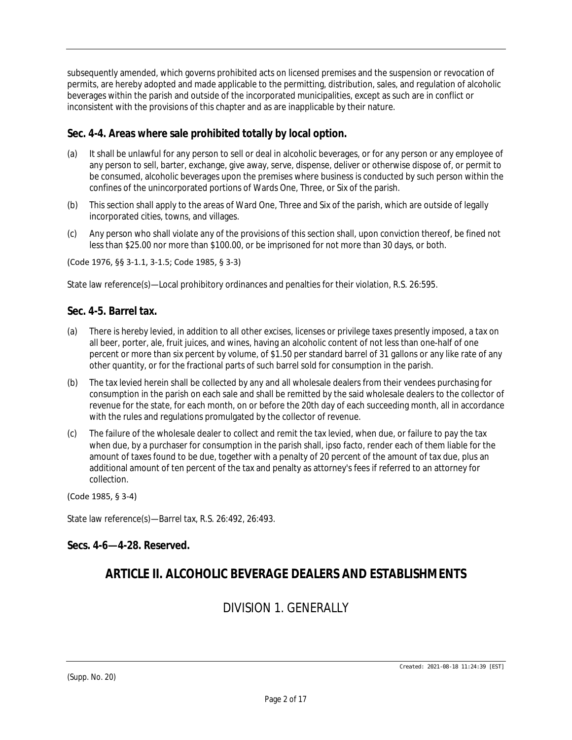subsequently amended, which governs prohibited acts on licensed premises and the suspension or revocation of permits, are hereby adopted and made applicable to the permitting, distribution, sales, and regulation of alcoholic beverages within the parish and outside of the incorporated municipalities, except as such are in conflict or inconsistent with the provisions of this chapter and as are inapplicable by their nature.

## **Sec. 4-4. Areas where sale prohibited totally by local option.**

- (a) It shall be unlawful for any person to sell or deal in alcoholic beverages, or for any person or any employee of any person to sell, barter, exchange, give away, serve, dispense, deliver or otherwise dispose of, or permit to be consumed, alcoholic beverages upon the premises where business is conducted by such person within the confines of the unincorporated portions of Wards One, Three, or Six of the parish.
- (b) This section shall apply to the areas of Ward One, Three and Six of the parish, which are outside of legally incorporated cities, towns, and villages.
- (c) Any person who shall violate any of the provisions of this section shall, upon conviction thereof, be fined not less than \$25.00 nor more than \$100.00, or be imprisoned for not more than 30 days, or both.

(Code 1976, §§ 3-1.1, 3-1.5; Code 1985, § 3-3)

State law reference(s)—Local prohibitory ordinances and penalties for their violation, R.S. 26:595.

#### **Sec. 4-5. Barrel tax.**

- (a) There is hereby levied, in addition to all other excises, licenses or privilege taxes presently imposed, a tax on all beer, porter, ale, fruit juices, and wines, having an alcoholic content of not less than one-half of one percent or more than six percent by volume, of \$1.50 per standard barrel of 31 gallons or any like rate of any other quantity, or for the fractional parts of such barrel sold for consumption in the parish.
- (b) The tax levied herein shall be collected by any and all wholesale dealers from their vendees purchasing for consumption in the parish on each sale and shall be remitted by the said wholesale dealers to the collector of revenue for the state, for each month, on or before the 20th day of each succeeding month, all in accordance with the rules and regulations promulgated by the collector of revenue.
- (c) The failure of the wholesale dealer to collect and remit the tax levied, when due, or failure to pay the tax when due, by a purchaser for consumption in the parish shall, ipso facto, render each of them liable for the amount of taxes found to be due, together with a penalty of 20 percent of the amount of tax due, plus an additional amount of ten percent of the tax and penalty as attorney's fees if referred to an attorney for collection.

(Code 1985, § 3-4)

State law reference(s)—Barrel tax, R.S. 26:492, 26:493.

#### **Secs. 4-6—4-28. Reserved.**

# *ARTICLE II. ALCOHOLIC BEVERAGE DEALERS AND ESTABLISHMENTS*

# *DIVISION 1. GENERALLY*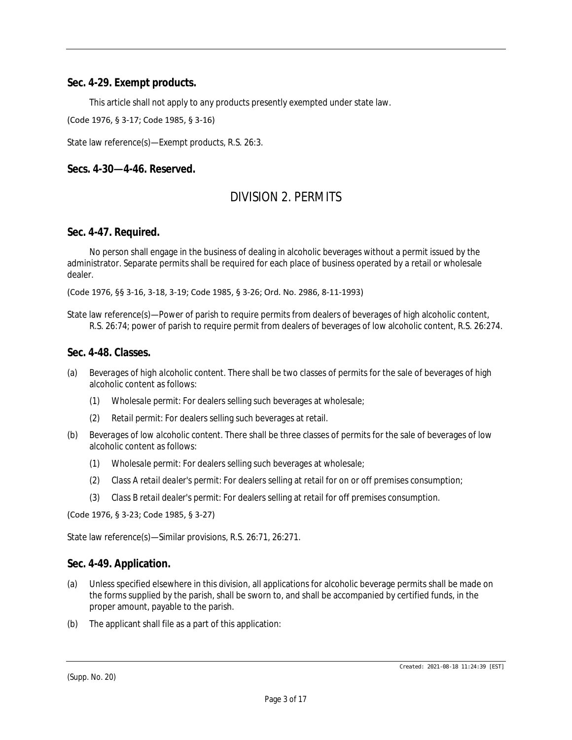#### **Sec. 4-29. Exempt products.**

This article shall not apply to any products presently exempted under state law.

(Code 1976, § 3-17; Code 1985, § 3-16)

State law reference(s)—Exempt products, R.S. 26:3.

#### **Secs. 4-30—4-46. Reserved.**

## *DIVISION 2. PERMITS*

#### **Sec. 4-47. Required.**

No person shall engage in the business of dealing in alcoholic beverages without a permit issued by the administrator. Separate permits shall be required for each place of business operated by a retail or wholesale dealer.

(Code 1976, §§ 3-16, 3-18, 3-19; Code 1985, § 3-26; Ord. No. 2986, 8-11-1993)

State law reference(s)—Power of parish to require permits from dealers of beverages of high alcoholic content, R.S. 26:74; power of parish to require permit from dealers of beverages of low alcoholic content, R.S. 26:274.

#### **Sec. 4-48. Classes.**

- (a) *Beverages of high alcoholic content.* There shall be two classes of permits for the sale of beverages of high alcoholic content as follows:
	- (1) *Wholesale permit:* For dealers selling such beverages at wholesale;
	- (2) *Retail permit:* For dealers selling such beverages at retail.
- (b) *Beverages of low alcoholic content.* There shall be three classes of permits for the sale of beverages of low alcoholic content as follows:
	- (1) *Wholesale permit:* For dealers selling such beverages at wholesale;
	- (2) *Class A retail dealer's permit:* For dealers selling at retail for on or off premises consumption;
	- (3) *Class B retail dealer's permit:* For dealers selling at retail for off premises consumption.

(Code 1976, § 3-23; Code 1985, § 3-27)

State law reference(s)—Similar provisions, R.S. 26:71, 26:271.

#### **Sec. 4-49. Application.**

- (a) Unless specified elsewhere in this division, all applications for alcoholic beverage permits shall be made on the forms supplied by the parish, shall be sworn to, and shall be accompanied by certified funds, in the proper amount, payable to the parish.
- (b) The applicant shall file as a part of this application:

(Supp. No. 20)

Created: 2021-08-18 11:24:39 [EST]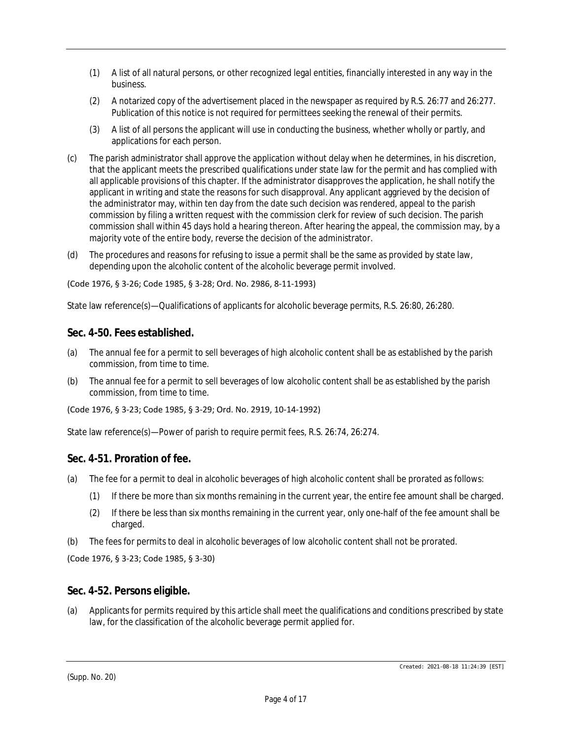- (1) A list of all natural persons, or other recognized legal entities, financially interested in any way in the business.
- (2) A notarized copy of the advertisement placed in the newspaper as required by R.S. 26:77 and 26:277. Publication of this notice is not required for permittees seeking the renewal of their permits.
- (3) A list of all persons the applicant will use in conducting the business, whether wholly or partly, and applications for each person.
- (c) The parish administrator shall approve the application without delay when he determines, in his discretion, that the applicant meets the prescribed qualifications under state law for the permit and has complied with all applicable provisions of this chapter. If the administrator disapproves the application, he shall notify the applicant in writing and state the reasons for such disapproval. Any applicant aggrieved by the decision of the administrator may, within ten day from the date such decision was rendered, appeal to the parish commission by filing a written request with the commission clerk for review of such decision. The parish commission shall within 45 days hold a hearing thereon. After hearing the appeal, the commission may, by a majority vote of the entire body, reverse the decision of the administrator.
- (d) The procedures and reasons for refusing to issue a permit shall be the same as provided by state law, depending upon the alcoholic content of the alcoholic beverage permit involved.

(Code 1976, § 3-26; Code 1985, § 3-28; Ord. No. 2986, 8-11-1993)

State law reference(s)—Qualifications of applicants for alcoholic beverage permits, R.S. 26:80, 26:280.

## **Sec. 4-50. Fees established.**

- (a) The annual fee for a permit to sell beverages of high alcoholic content shall be as established by the parish commission, from time to time.
- (b) The annual fee for a permit to sell beverages of low alcoholic content shall be as established by the parish commission, from time to time.

(Code 1976, § 3-23; Code 1985, § 3-29; Ord. No. 2919, 10-14-1992)

State law reference(s)—Power of parish to require permit fees, R.S. 26:74, 26:274.

## **Sec. 4-51. Proration of fee.**

- (a) The fee for a permit to deal in alcoholic beverages of high alcoholic content shall be prorated as follows:
	- (1) If there be more than six months remaining in the current year, the entire fee amount shall be charged.
	- (2) If there be less than six months remaining in the current year, only one-half of the fee amount shall be charged.
- (b) The fees for permits to deal in alcoholic beverages of low alcoholic content shall not be prorated.

(Code 1976, § 3-23; Code 1985, § 3-30)

#### **Sec. 4-52. Persons eligible.**

(a) Applicants for permits required by this article shall meet the qualifications and conditions prescribed by state law, for the classification of the alcoholic beverage permit applied for.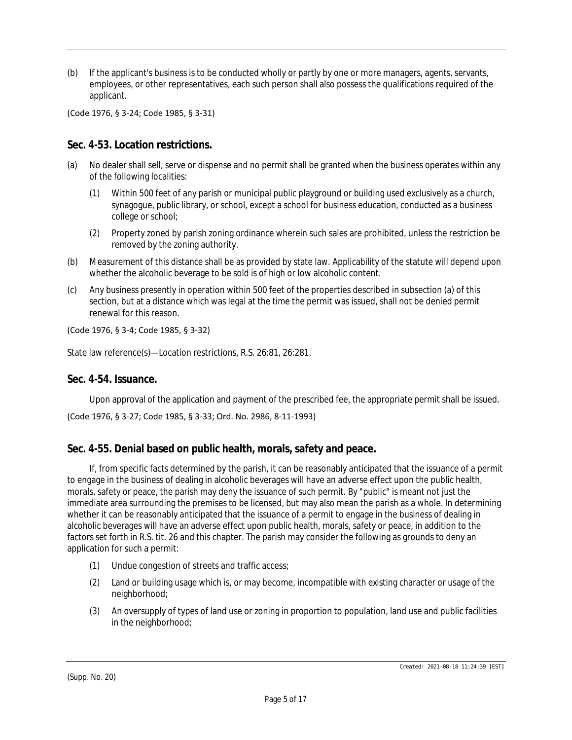(b) If the applicant's business is to be conducted wholly or partly by one or more managers, agents, servants, employees, or other representatives, each such person shall also possess the qualifications required of the applicant.

(Code 1976, § 3-24; Code 1985, § 3-31)

### **Sec. 4-53. Location restrictions.**

- (a) No dealer shall sell, serve or dispense and no permit shall be granted when the business operates within any of the following localities:
	- (1) Within 500 feet of any parish or municipal public playground or building used exclusively as a church, synagogue, public library, or school, except a school for business education, conducted as a business college or school;
	- (2) Property zoned by parish zoning ordinance wherein such sales are prohibited, unless the restriction be removed by the zoning authority.
- (b) Measurement of this distance shall be as provided by state law. Applicability of the statute will depend upon whether the alcoholic beverage to be sold is of high or low alcoholic content.
- (c) Any business presently in operation within 500 feet of the properties described in subsection (a) of this section, but at a distance which was legal at the time the permit was issued, shall not be denied permit renewal for this reason.

#### (Code 1976, § 3-4; Code 1985, § 3-32)

State law reference(s)—Location restrictions, R.S. 26:81, 26:281.

#### **Sec. 4-54. Issuance.**

Upon approval of the application and payment of the prescribed fee, the appropriate permit shall be issued.

(Code 1976, § 3-27; Code 1985, § 3-33; Ord. No. 2986, 8-11-1993)

#### **Sec. 4-55. Denial based on public health, morals, safety and peace.**

If, from specific facts determined by the parish, it can be reasonably anticipated that the issuance of a permit to engage in the business of dealing in alcoholic beverages will have an adverse effect upon the public health, morals, safety or peace, the parish may deny the issuance of such permit. By "public" is meant not just the immediate area surrounding the premises to be licensed, but may also mean the parish as a whole. In determining whether it can be reasonably anticipated that the issuance of a permit to engage in the business of dealing in alcoholic beverages will have an adverse effect upon public health, morals, safety or peace, in addition to the factors set forth in R.S. tit. 26 and this chapter. The parish may consider the following as grounds to deny an application for such a permit:

- (1) Undue congestion of streets and traffic access;
- (2) Land or building usage which is, or may become, incompatible with existing character or usage of the neighborhood;
- (3) An oversupply of types of land use or zoning in proportion to population, land use and public facilities in the neighborhood;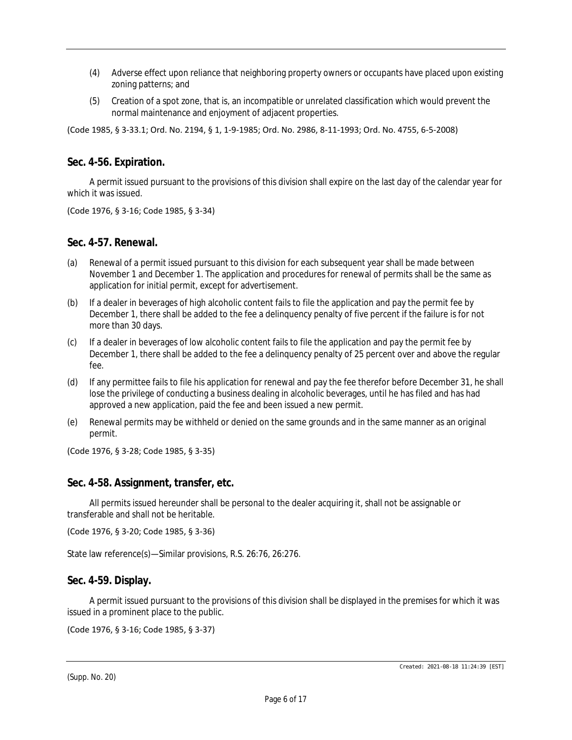- (4) Adverse effect upon reliance that neighboring property owners or occupants have placed upon existing zoning patterns; and
- (5) Creation of a spot zone, that is, an incompatible or unrelated classification which would prevent the normal maintenance and enjoyment of adjacent properties.

(Code 1985, § 3-33.1; Ord. No. 2194, § 1, 1-9-1985; Ord. No. 2986, 8-11-1993; Ord. No. 4755, 6-5-2008)

#### **Sec. 4-56. Expiration.**

A permit issued pursuant to the provisions of this division shall expire on the last day of the calendar year for which it was issued.

(Code 1976, § 3-16; Code 1985, § 3-34)

#### **Sec. 4-57. Renewal.**

- (a) Renewal of a permit issued pursuant to this division for each subsequent year shall be made between November 1 and December 1. The application and procedures for renewal of permits shall be the same as application for initial permit, except for advertisement.
- (b) If a dealer in beverages of high alcoholic content fails to file the application and pay the permit fee by December 1, there shall be added to the fee a delinquency penalty of five percent if the failure is for not more than 30 days.
- (c) If a dealer in beverages of low alcoholic content fails to file the application and pay the permit fee by December 1, there shall be added to the fee a delinquency penalty of 25 percent over and above the regular fee.
- (d) If any permittee fails to file his application for renewal and pay the fee therefor before December 31, he shall lose the privilege of conducting a business dealing in alcoholic beverages, until he has filed and has had approved a new application, paid the fee and been issued a new permit.
- (e) Renewal permits may be withheld or denied on the same grounds and in the same manner as an original permit.

(Code 1976, § 3-28; Code 1985, § 3-35)

#### **Sec. 4-58. Assignment, transfer, etc.**

All permits issued hereunder shall be personal to the dealer acquiring it, shall not be assignable or transferable and shall not be heritable.

(Code 1976, § 3-20; Code 1985, § 3-36)

State law reference(s)—Similar provisions, R.S. 26:76, 26:276.

#### **Sec. 4-59. Display.**

A permit issued pursuant to the provisions of this division shall be displayed in the premises for which it was issued in a prominent place to the public.

(Code 1976, § 3-16; Code 1985, § 3-37)

(Supp. No. 20)

Created: 2021-08-18 11:24:39 [EST]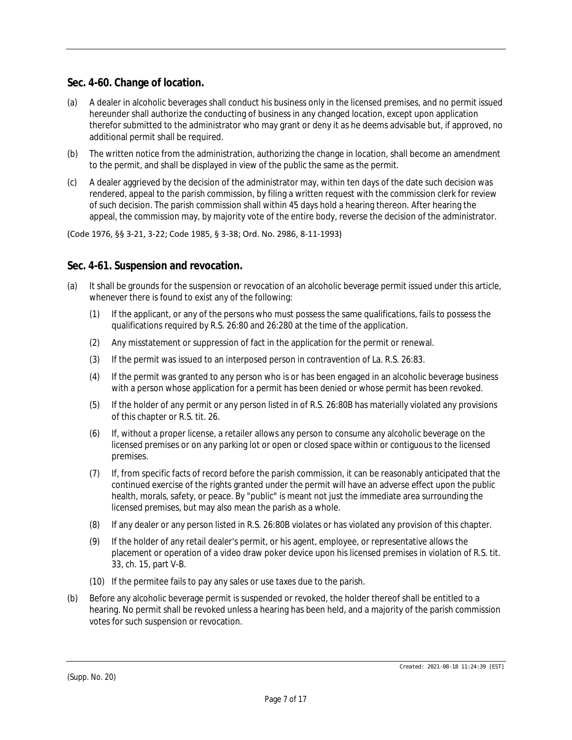## **Sec. 4-60. Change of location.**

- (a) A dealer in alcoholic beverages shall conduct his business only in the licensed premises, and no permit issued hereunder shall authorize the conducting of business in any changed location, except upon application therefor submitted to the administrator who may grant or deny it as he deems advisable but, if approved, no additional permit shall be required.
- (b) The written notice from the administration, authorizing the change in location, shall become an amendment to the permit, and shall be displayed in view of the public the same as the permit.
- (c) A dealer aggrieved by the decision of the administrator may, within ten days of the date such decision was rendered, appeal to the parish commission, by filing a written request with the commission clerk for review of such decision. The parish commission shall within 45 days hold a hearing thereon. After hearing the appeal, the commission may, by majority vote of the entire body, reverse the decision of the administrator.

#### (Code 1976, §§ 3-21, 3-22; Code 1985, § 3-38; Ord. No. 2986, 8-11-1993)

#### **Sec. 4-61. Suspension and revocation.**

- (a) It shall be grounds for the suspension or revocation of an alcoholic beverage permit issued under this article, whenever there is found to exist any of the following:
	- (1) If the applicant, or any of the persons who must possess the same qualifications, fails to possess the qualifications required by R.S. 26:80 and 26:280 at the time of the application.
	- (2) Any misstatement or suppression of fact in the application for the permit or renewal.
	- (3) If the permit was issued to an interposed person in contravention of La. R.S. 26:83.
	- (4) If the permit was granted to any person who is or has been engaged in an alcoholic beverage business with a person whose application for a permit has been denied or whose permit has been revoked.
	- (5) If the holder of any permit or any person listed in of R.S. 26:80B has materially violated any provisions of this chapter or R.S. tit. 26.
	- (6) If, without a proper license, a retailer allows any person to consume any alcoholic beverage on the licensed premises or on any parking lot or open or closed space within or contiguous to the licensed premises.
	- (7) If, from specific facts of record before the parish commission, it can be reasonably anticipated that the continued exercise of the rights granted under the permit will have an adverse effect upon the public health, morals, safety, or peace. By "public" is meant not just the immediate area surrounding the licensed premises, but may also mean the parish as a whole.
	- (8) If any dealer or any person listed in R.S. 26:80B violates or has violated any provision of this chapter.
	- (9) If the holder of any retail dealer's permit, or his agent, employee, or representative allows the placement or operation of a video draw poker device upon his licensed premises in violation of R.S. tit. 33, ch. 15, part V-B.
	- (10) If the permitee fails to pay any sales or use taxes due to the parish.
- (b) Before any alcoholic beverage permit is suspended or revoked, the holder thereof shall be entitled to a hearing. No permit shall be revoked unless a hearing has been held, and a majority of the parish commission votes for such suspension or revocation.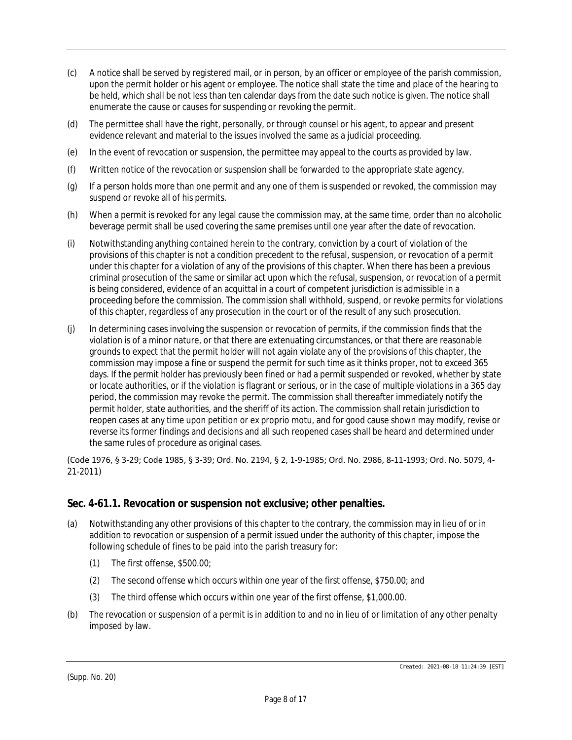- (c) A notice shall be served by registered mail, or in person, by an officer or employee of the parish commission, upon the permit holder or his agent or employee. The notice shall state the time and place of the hearing to be held, which shall be not less than ten calendar days from the date such notice is given. The notice shall enumerate the cause or causes for suspending or revoking the permit.
- (d) The permittee shall have the right, personally, or through counsel or his agent, to appear and present evidence relevant and material to the issues involved the same as a judicial proceeding.
- (e) In the event of revocation or suspension, the permittee may appeal to the courts as provided by law.
- (f) Written notice of the revocation or suspension shall be forwarded to the appropriate state agency.
- (g) If a person holds more than one permit and any one of them is suspended or revoked, the commission may suspend or revoke all of his permits.
- (h) When a permit is revoked for any legal cause the commission may, at the same time, order than no alcoholic beverage permit shall be used covering the same premises until one year after the date of revocation.
- (i) Notwithstanding anything contained herein to the contrary, conviction by a court of violation of the provisions of this chapter is not a condition precedent to the refusal, suspension, or revocation of a permit under this chapter for a violation of any of the provisions of this chapter. When there has been a previous criminal prosecution of the same or similar act upon which the refusal, suspension, or revocation of a permit is being considered, evidence of an acquittal in a court of competent jurisdiction is admissible in a proceeding before the commission. The commission shall withhold, suspend, or revoke permits for violations of this chapter, regardless of any prosecution in the court or of the result of any such prosecution.
- (j) In determining cases involving the suspension or revocation of permits, if the commission finds that the violation is of a minor nature, or that there are extenuating circumstances, or that there are reasonable grounds to expect that the permit holder will not again violate any of the provisions of this chapter, the commission may impose a fine or suspend the permit for such time as it thinks proper, not to exceed 365 days. If the permit holder has previously been fined or had a permit suspended or revoked, whether by state or locate authorities, or if the violation is flagrant or serious, or in the case of multiple violations in a 365 day period, the commission may revoke the permit. The commission shall thereafter immediately notify the permit holder, state authorities, and the sheriff of its action. The commission shall retain jurisdiction to reopen cases at any time upon petition or ex proprio motu, and for good cause shown may modify, revise or reverse its former findings and decisions and all such reopened cases shall be heard and determined under the same rules of procedure as original cases.

(Code 1976, § 3-29; Code 1985, § 3-39; Ord. No. 2194, § 2, 1-9-1985; Ord. No. 2986, 8-11-1993; Ord. No. 5079, 4- 21-2011)

#### **Sec. 4-61.1. Revocation or suspension not exclusive; other penalties.**

- (a) Notwithstanding any other provisions of this chapter to the contrary, the commission may in lieu of or in addition to revocation or suspension of a permit issued under the authority of this chapter, impose the following schedule of fines to be paid into the parish treasury for:
	- (1) The first offense, \$500.00;
	- (2) The second offense which occurs within one year of the first offense, \$750.00; and
	- (3) The third offense which occurs within one year of the first offense, \$1,000.00.
- (b) The revocation or suspension of a permit is in addition to and no in lieu of or limitation of any other penalty imposed by law.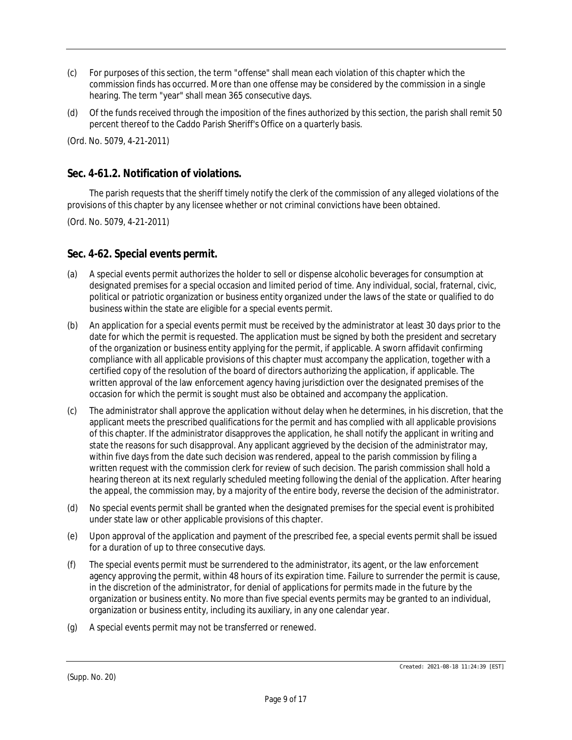- (c) For purposes of this section, the term "offense" shall mean each violation of this chapter which the commission finds has occurred. More than one offense may be considered by the commission in a single hearing. The term "year" shall mean 365 consecutive days.
- (d) Of the funds received through the imposition of the fines authorized by this section, the parish shall remit 50 percent thereof to the Caddo Parish Sheriff's Office on a quarterly basis.

(Ord. No. 5079, 4-21-2011)

## **Sec. 4-61.2. Notification of violations.**

The parish requests that the sheriff timely notify the clerk of the commission of any alleged violations of the provisions of this chapter by any licensee whether or not criminal convictions have been obtained.

(Ord. No. 5079, 4-21-2011)

#### **Sec. 4-62. Special events permit.**

- (a) A special events permit authorizes the holder to sell or dispense alcoholic beverages for consumption at designated premises for a special occasion and limited period of time. Any individual, social, fraternal, civic, political or patriotic organization or business entity organized under the laws of the state or qualified to do business within the state are eligible for a special events permit.
- (b) An application for a special events permit must be received by the administrator at least 30 days prior to the date for which the permit is requested. The application must be signed by both the president and secretary of the organization or business entity applying for the permit, if applicable. A sworn affidavit confirming compliance with all applicable provisions of this chapter must accompany the application, together with a certified copy of the resolution of the board of directors authorizing the application, if applicable. The written approval of the law enforcement agency having jurisdiction over the designated premises of the occasion for which the permit is sought must also be obtained and accompany the application.
- (c) The administrator shall approve the application without delay when he determines, in his discretion, that the applicant meets the prescribed qualifications for the permit and has complied with all applicable provisions of this chapter. If the administrator disapproves the application, he shall notify the applicant in writing and state the reasons for such disapproval. Any applicant aggrieved by the decision of the administrator may, within five days from the date such decision was rendered, appeal to the parish commission by filing a written request with the commission clerk for review of such decision. The parish commission shall hold a hearing thereon at its next regularly scheduled meeting following the denial of the application. After hearing the appeal, the commission may, by a majority of the entire body, reverse the decision of the administrator.
- (d) No special events permit shall be granted when the designated premises for the special event is prohibited under state law or other applicable provisions of this chapter.
- (e) Upon approval of the application and payment of the prescribed fee, a special events permit shall be issued for a duration of up to three consecutive days.
- (f) The special events permit must be surrendered to the administrator, its agent, or the law enforcement agency approving the permit, within 48 hours of its expiration time. Failure to surrender the permit is cause, in the discretion of the administrator, for denial of applications for permits made in the future by the organization or business entity. No more than five special events permits may be granted to an individual, organization or business entity, including its auxiliary, in any one calendar year.
- (g) A special events permit may not be transferred or renewed.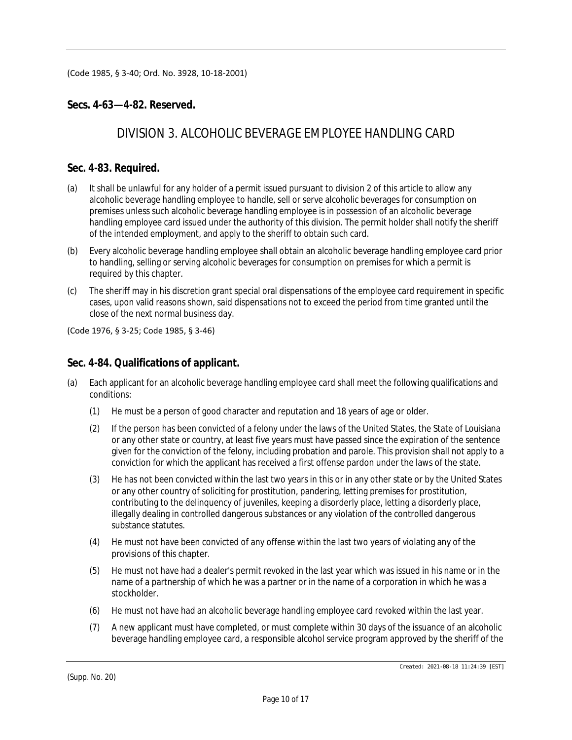(Code 1985, § 3-40; Ord. No. 3928, 10-18-2001)

## **Secs. 4-63—4-82. Reserved.**

## *DIVISION 3. ALCOHOLIC BEVERAGE EMPLOYEE HANDLING CARD*

### **Sec. 4-83. Required.**

- (a) It shall be unlawful for any holder of a permit issued pursuant to division 2 of this article to allow any alcoholic beverage handling employee to handle, sell or serve alcoholic beverages for consumption on premises unless such alcoholic beverage handling employee is in possession of an alcoholic beverage handling employee card issued under the authority of this division. The permit holder shall notify the sheriff of the intended employment, and apply to the sheriff to obtain such card.
- (b) Every alcoholic beverage handling employee shall obtain an alcoholic beverage handling employee card prior to handling, selling or serving alcoholic beverages for consumption on premises for which a permit is required by this chapter.
- (c) The sheriff may in his discretion grant special oral dispensations of the employee card requirement in specific cases, upon valid reasons shown, said dispensations not to exceed the period from time granted until the close of the next normal business day.

(Code 1976, § 3-25; Code 1985, § 3-46)

#### **Sec. 4-84. Qualifications of applicant.**

- (a) Each applicant for an alcoholic beverage handling employee card shall meet the following qualifications and conditions:
	- (1) He must be a person of good character and reputation and 18 years of age or older.
	- (2) If the person has been convicted of a felony under the laws of the United States, the State of Louisiana or any other state or country, at least five years must have passed since the expiration of the sentence given for the conviction of the felony, including probation and parole. This provision shall not apply to a conviction for which the applicant has received a first offense pardon under the laws of the state.
	- (3) He has not been convicted within the last two years in this or in any other state or by the United States or any other country of soliciting for prostitution, pandering, letting premises for prostitution, contributing to the delinquency of juveniles, keeping a disorderly place, letting a disorderly place, illegally dealing in controlled dangerous substances or any violation of the controlled dangerous substance statutes.
	- (4) He must not have been convicted of any offense within the last two years of violating any of the provisions of this chapter.
	- (5) He must not have had a dealer's permit revoked in the last year which was issued in his name or in the name of a partnership of which he was a partner or in the name of a corporation in which he was a stockholder.
	- (6) He must not have had an alcoholic beverage handling employee card revoked within the last year.
	- (7) A new applicant must have completed, or must complete within 30 days of the issuance of an alcoholic beverage handling employee card, a responsible alcohol service program approved by the sheriff of the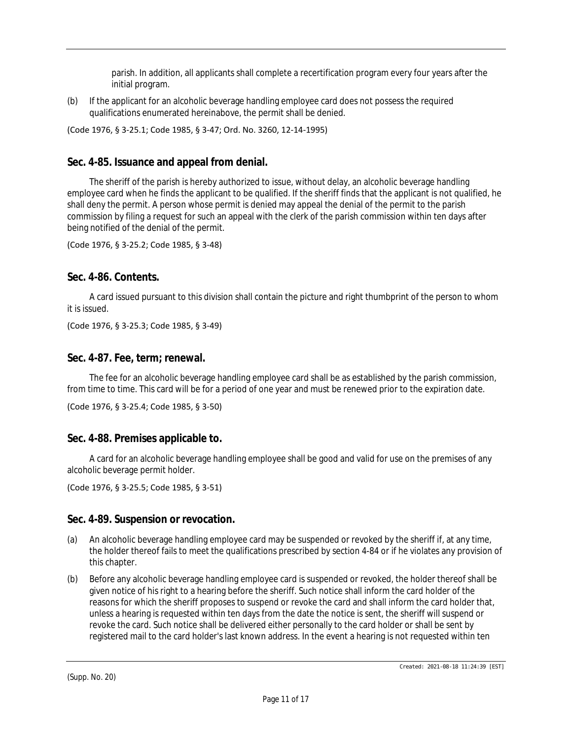parish. In addition, all applicants shall complete a recertification program every four years after the initial program.

(b) If the applicant for an alcoholic beverage handling employee card does not possess the required qualifications enumerated hereinabove, the permit shall be denied.

(Code 1976, § 3-25.1; Code 1985, § 3-47; Ord. No. 3260, 12-14-1995)

## **Sec. 4-85. Issuance and appeal from denial.**

The sheriff of the parish is hereby authorized to issue, without delay, an alcoholic beverage handling employee card when he finds the applicant to be qualified. If the sheriff finds that the applicant is not qualified, he shall deny the permit. A person whose permit is denied may appeal the denial of the permit to the parish commission by filing a request for such an appeal with the clerk of the parish commission within ten days after being notified of the denial of the permit.

(Code 1976, § 3-25.2; Code 1985, § 3-48)

#### **Sec. 4-86. Contents.**

A card issued pursuant to this division shall contain the picture and right thumbprint of the person to whom it is issued.

(Code 1976, § 3-25.3; Code 1985, § 3-49)

#### **Sec. 4-87. Fee, term; renewal.**

The fee for an alcoholic beverage handling employee card shall be as established by the parish commission, from time to time. This card will be for a period of one year and must be renewed prior to the expiration date.

```
(Code 1976, § 3-25.4; Code 1985, § 3-50)
```
#### **Sec. 4-88. Premises applicable to.**

A card for an alcoholic beverage handling employee shall be good and valid for use on the premises of any alcoholic beverage permit holder.

```
(Code 1976, § 3-25.5; Code 1985, § 3-51)
```
#### **Sec. 4-89. Suspension or revocation.**

- (a) An alcoholic beverage handling employee card may be suspended or revoked by the sheriff if, at any time, the holder thereof fails to meet the qualifications prescribed by section 4-84 or if he violates any provision of this chapter.
- (b) Before any alcoholic beverage handling employee card is suspended or revoked, the holder thereof shall be given notice of his right to a hearing before the sheriff. Such notice shall inform the card holder of the reasons for which the sheriff proposes to suspend or revoke the card and shall inform the card holder that, unless a hearing is requested within ten days from the date the notice is sent, the sheriff will suspend or revoke the card. Such notice shall be delivered either personally to the card holder or shall be sent by registered mail to the card holder's last known address. In the event a hearing is not requested within ten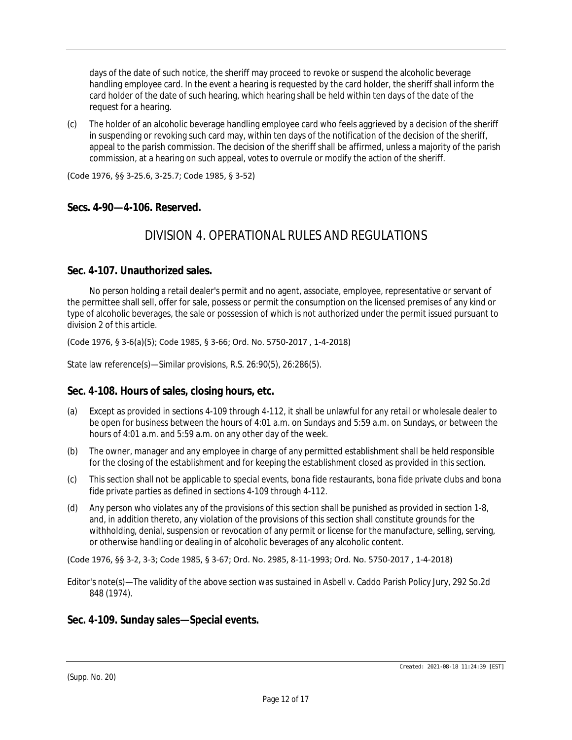days of the date of such notice, the sheriff may proceed to revoke or suspend the alcoholic beverage handling employee card. In the event a hearing is requested by the card holder, the sheriff shall inform the card holder of the date of such hearing, which hearing shall be held within ten days of the date of the request for a hearing.

(c) The holder of an alcoholic beverage handling employee card who feels aggrieved by a decision of the sheriff in suspending or revoking such card may, within ten days of the notification of the decision of the sheriff, appeal to the parish commission. The decision of the sheriff shall be affirmed, unless a majority of the parish commission, at a hearing on such appeal, votes to overrule or modify the action of the sheriff.

(Code 1976, §§ 3-25.6, 3-25.7; Code 1985, § 3-52)

#### **Secs. 4-90—4-106. Reserved.**

## *DIVISION 4. OPERATIONAL RULES AND REGULATIONS*

#### **Sec. 4-107. Unauthorized sales.**

No person holding a retail dealer's permit and no agent, associate, employee, representative or servant of the permittee shall sell, offer for sale, possess or permit the consumption on the licensed premises of any kind or type of alcoholic beverages, the sale or possession of which is not authorized under the permit issued pursuant to division 2 of this article.

(Code 1976, § 3-6(a)(5); Code 1985, § 3-66; Ord. No. 5750-2017 , 1-4-2018)

State law reference(s)—Similar provisions, R.S. 26:90(5), 26:286(5).

#### **Sec. 4-108. Hours of sales, closing hours, etc.**

- (a) Except as provided in sections 4-109 through 4-112, it shall be unlawful for any retail or wholesale dealer to be open for business between the hours of 4:01 a.m. on Sundays and 5:59 a.m. on Sundays, or between the hours of 4:01 a.m. and 5:59 a.m. on any other day of the week.
- (b) The owner, manager and any employee in charge of any permitted establishment shall be held responsible for the closing of the establishment and for keeping the establishment closed as provided in this section.
- (c) This section shall not be applicable to special events, bona fide restaurants, bona fide private clubs and bona fide private parties as defined in sections 4-109 through 4-112.
- (d) Any person who violates any of the provisions of this section shall be punished as provided in section 1-8, and, in addition thereto, any violation of the provisions of this section shall constitute grounds for the withholding, denial, suspension or revocation of any permit or license for the manufacture, selling, serving, or otherwise handling or dealing in of alcoholic beverages of any alcoholic content.

(Code 1976, §§ 3-2, 3-3; Code 1985, § 3-67; Ord. No. 2985, 8-11-1993; Ord. No. 5750-2017 , 1-4-2018)

Editor's note(s)—The validity of the above section was sustained in Asbell v. Caddo Parish Policy Jury, 292 So.2d 848 (1974).

#### **Sec. 4-109. Sunday sales—Special events.**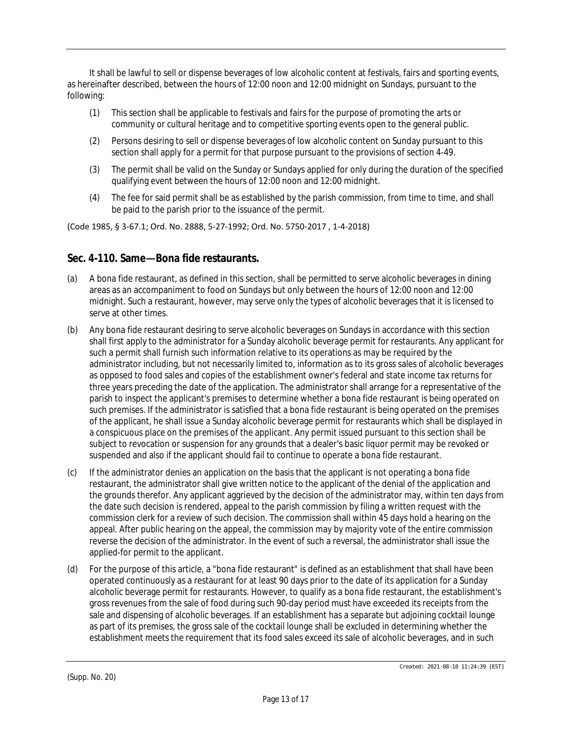It shall be lawful to sell or dispense beverages of low alcoholic content at festivals, fairs and sporting events, as hereinafter described, between the hours of 12:00 noon and 12:00 midnight on Sundays, pursuant to the following:

- (1) This section shall be applicable to festivals and fairs for the purpose of promoting the arts or community or cultural heritage and to competitive sporting events open to the general public.
- (2) Persons desiring to sell or dispense beverages of low alcoholic content on Sunday pursuant to this section shall apply for a permit for that purpose pursuant to the provisions of section 4-49.
- (3) The permit shall be valid on the Sunday or Sundays applied for only during the duration of the specified qualifying event between the hours of 12:00 noon and 12:00 midnight.
- (4) The fee for said permit shall be as established by the parish commission, from time to time, and shall be paid to the parish prior to the issuance of the permit.

(Code 1985, § 3-67.1; Ord. No. 2888, 5-27-1992; Ord. No. 5750-2017 , 1-4-2018)

#### **Sec. 4-110. Same—Bona fide restaurants.**

- (a) A bona fide restaurant, as defined in this section, shall be permitted to serve alcoholic beverages in dining areas as an accompaniment to food on Sundays but only between the hours of 12:00 noon and 12:00 midnight. Such a restaurant, however, may serve only the types of alcoholic beverages that it is licensed to serve at other times.
- (b) Any bona fide restaurant desiring to serve alcoholic beverages on Sundays in accordance with this section shall first apply to the administrator for a Sunday alcoholic beverage permit for restaurants. Any applicant for such a permit shall furnish such information relative to its operations as may be required by the administrator including, but not necessarily limited to, information as to its gross sales of alcoholic beverages as opposed to food sales and copies of the establishment owner's federal and state income tax returns for three years preceding the date of the application. The administrator shall arrange for a representative of the parish to inspect the applicant's premises to determine whether a bona fide restaurant is being operated on such premises. If the administrator is satisfied that a bona fide restaurant is being operated on the premises of the applicant, he shall issue a Sunday alcoholic beverage permit for restaurants which shall be displayed in a conspicuous place on the premises of the applicant. Any permit issued pursuant to this section shall be subject to revocation or suspension for any grounds that a dealer's basic liquor permit may be revoked or suspended and also if the applicant should fail to continue to operate a bona fide restaurant.
- (c) If the administrator denies an application on the basis that the applicant is not operating a bona fide restaurant, the administrator shall give written notice to the applicant of the denial of the application and the grounds therefor. Any applicant aggrieved by the decision of the administrator may, within ten days from the date such decision is rendered, appeal to the parish commission by filing a written request with the commission clerk for a review of such decision. The commission shall within 45 days hold a hearing on the appeal. After public hearing on the appeal, the commission may by majority vote of the entire commission reverse the decision of the administrator. In the event of such a reversal, the administrator shall issue the applied-for permit to the applicant.
- (d) For the purpose of this article, a "bona fide restaurant" is defined as an establishment that shall have been operated continuously as a restaurant for at least 90 days prior to the date of its application for a Sunday alcoholic beverage permit for restaurants. However, to qualify as a bona fide restaurant, the establishment's gross revenues from the sale of food during such 90-day period must have exceeded its receipts from the sale and dispensing of alcoholic beverages. If an establishment has a separate but adjoining cocktail lounge as part of its premises, the gross sale of the cocktail lounge shall be excluded in determining whether the establishment meets the requirement that its food sales exceed its sale of alcoholic beverages, and in such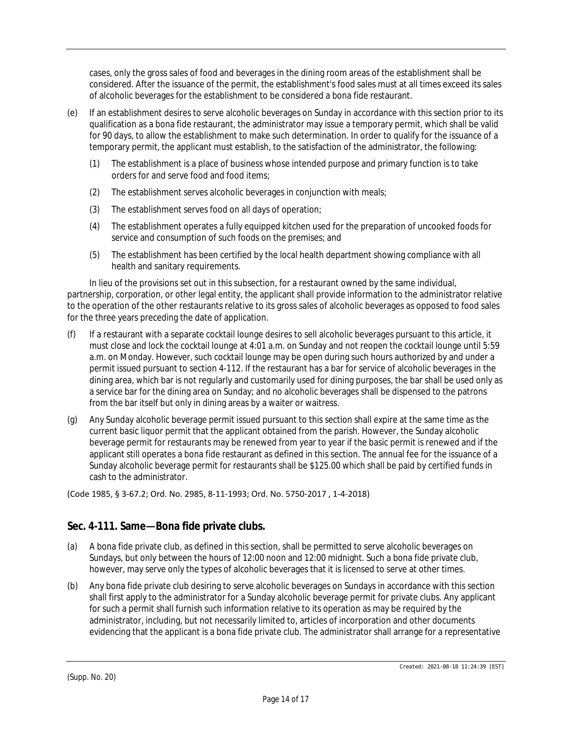cases, only the gross sales of food and beverages in the dining room areas of the establishment shall be considered. After the issuance of the permit, the establishment's food sales must at all times exceed its sales of alcoholic beverages for the establishment to be considered a bona fide restaurant.

- (e) If an establishment desires to serve alcoholic beverages on Sunday in accordance with this section prior to its qualification as a bona fide restaurant, the administrator may issue a temporary permit, which shall be valid for 90 days, to allow the establishment to make such determination. In order to qualify for the issuance of a temporary permit, the applicant must establish, to the satisfaction of the administrator, the following:
	- (1) The establishment is a place of business whose intended purpose and primary function is to take orders for and serve food and food items;
	- (2) The establishment serves alcoholic beverages in conjunction with meals;
	- (3) The establishment serves food on all days of operation;
	- (4) The establishment operates a fully equipped kitchen used for the preparation of uncooked foods for service and consumption of such foods on the premises; and
	- (5) The establishment has been certified by the local health department showing compliance with all health and sanitary requirements.

In lieu of the provisions set out in this subsection, for a restaurant owned by the same individual, partnership, corporation, or other legal entity, the applicant shall provide information to the administrator relative to the operation of the other restaurants relative to its gross sales of alcoholic beverages as opposed to food sales for the three years preceding the date of application.

- (f) If a restaurant with a separate cocktail lounge desires to sell alcoholic beverages pursuant to this article, it must close and lock the cocktail lounge at 4:01 a.m. on Sunday and not reopen the cocktail lounge until 5:59 a.m. on Monday. However, such cocktail lounge may be open during such hours authorized by and under a permit issued pursuant to section 4-112. If the restaurant has a bar for service of alcoholic beverages in the dining area, which bar is not regularly and customarily used for dining purposes, the bar shall be used only as a service bar for the dining area on Sunday; and no alcoholic beverages shall be dispensed to the patrons from the bar itself but only in dining areas by a waiter or waitress.
- (g) Any Sunday alcoholic beverage permit issued pursuant to this section shall expire at the same time as the current basic liquor permit that the applicant obtained from the parish. However, the Sunday alcoholic beverage permit for restaurants may be renewed from year to year if the basic permit is renewed and if the applicant still operates a bona fide restaurant as defined in this section. The annual fee for the issuance of a Sunday alcoholic beverage permit for restaurants shall be \$125.00 which shall be paid by certified funds in cash to the administrator.

(Code 1985, § 3-67.2; Ord. No. 2985, 8-11-1993; Ord. No. 5750-2017 , 1-4-2018)

## **Sec. 4-111. Same—Bona fide private clubs.**

- (a) A bona fide private club, as defined in this section, shall be permitted to serve alcoholic beverages on Sundays, but only between the hours of 12:00 noon and 12:00 midnight. Such a bona fide private club, however, may serve only the types of alcoholic beverages that it is licensed to serve at other times.
- (b) Any bona fide private club desiring to serve alcoholic beverages on Sundays in accordance with this section shall first apply to the administrator for a Sunday alcoholic beverage permit for private clubs. Any applicant for such a permit shall furnish such information relative to its operation as may be required by the administrator, including, but not necessarily limited to, articles of incorporation and other documents evidencing that the applicant is a bona fide private club. The administrator shall arrange for a representative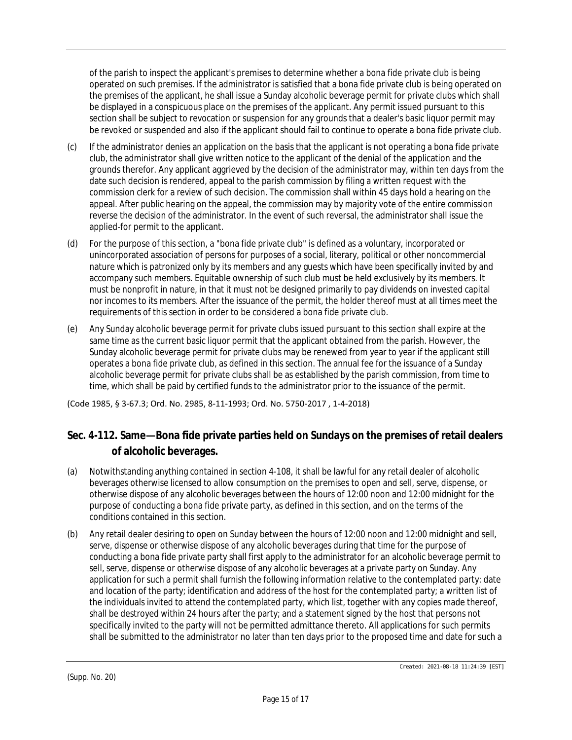of the parish to inspect the applicant's premises to determine whether a bona fide private club is being operated on such premises. If the administrator is satisfied that a bona fide private club is being operated on the premises of the applicant, he shall issue a Sunday alcoholic beverage permit for private clubs which shall be displayed in a conspicuous place on the premises of the applicant. Any permit issued pursuant to this section shall be subject to revocation or suspension for any grounds that a dealer's basic liquor permit may be revoked or suspended and also if the applicant should fail to continue to operate a bona fide private club.

- (c) If the administrator denies an application on the basis that the applicant is not operating a bona fide private club, the administrator shall give written notice to the applicant of the denial of the application and the grounds therefor. Any applicant aggrieved by the decision of the administrator may, within ten days from the date such decision is rendered, appeal to the parish commission by filing a written request with the commission clerk for a review of such decision. The commission shall within 45 days hold a hearing on the appeal. After public hearing on the appeal, the commission may by majority vote of the entire commission reverse the decision of the administrator. In the event of such reversal, the administrator shall issue the applied-for permit to the applicant.
- (d) For the purpose of this section, a "bona fide private club" is defined as a voluntary, incorporated or unincorporated association of persons for purposes of a social, literary, political or other noncommercial nature which is patronized only by its members and any guests which have been specifically invited by and accompany such members. Equitable ownership of such club must be held exclusively by its members. It must be nonprofit in nature, in that it must not be designed primarily to pay dividends on invested capital nor incomes to its members. After the issuance of the permit, the holder thereof must at all times meet the requirements of this section in order to be considered a bona fide private club.
- (e) Any Sunday alcoholic beverage permit for private clubs issued pursuant to this section shall expire at the same time as the current basic liquor permit that the applicant obtained from the parish. However, the Sunday alcoholic beverage permit for private clubs may be renewed from year to year if the applicant still operates a bona fide private club, as defined in this section. The annual fee for the issuance of a Sunday alcoholic beverage permit for private clubs shall be as established by the parish commission, from time to time, which shall be paid by certified funds to the administrator prior to the issuance of the permit.

(Code 1985, § 3-67.3; Ord. No. 2985, 8-11-1993; Ord. No. 5750-2017 , 1-4-2018)

## **Sec. 4-112. Same—Bona fide private parties held on Sundays on the premises of retail dealers of alcoholic beverages.**

- (a) Notwithstanding anything contained in section 4-108, it shall be lawful for any retail dealer of alcoholic beverages otherwise licensed to allow consumption on the premises to open and sell, serve, dispense, or otherwise dispose of any alcoholic beverages between the hours of 12:00 noon and 12:00 midnight for the purpose of conducting a bona fide private party, as defined in this section, and on the terms of the conditions contained in this section.
- (b) Any retail dealer desiring to open on Sunday between the hours of 12:00 noon and 12:00 midnight and sell, serve, dispense or otherwise dispose of any alcoholic beverages during that time for the purpose of conducting a bona fide private party shall first apply to the administrator for an alcoholic beverage permit to sell, serve, dispense or otherwise dispose of any alcoholic beverages at a private party on Sunday. Any application for such a permit shall furnish the following information relative to the contemplated party: date and location of the party; identification and address of the host for the contemplated party; a written list of the individuals invited to attend the contemplated party, which list, together with any copies made thereof, shall be destroyed within 24 hours after the party; and a statement signed by the host that persons not specifically invited to the party will not be permitted admittance thereto. All applications for such permits shall be submitted to the administrator no later than ten days prior to the proposed time and date for such a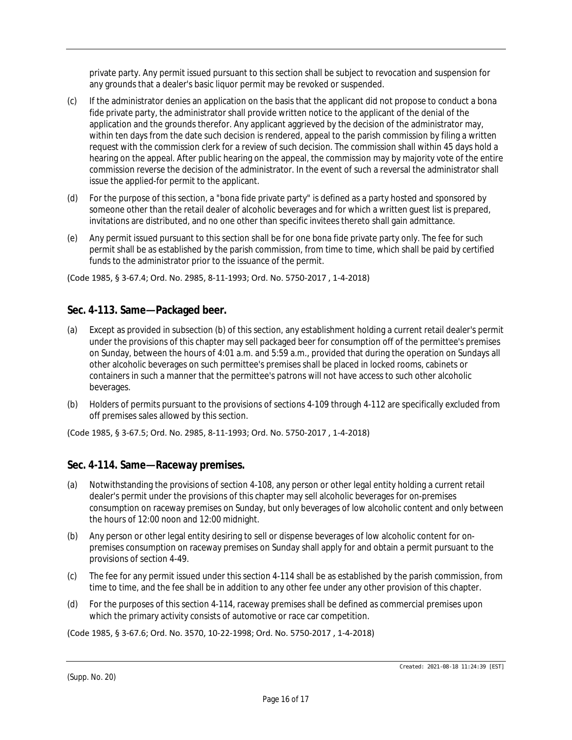private party. Any permit issued pursuant to this section shall be subject to revocation and suspension for any grounds that a dealer's basic liquor permit may be revoked or suspended.

- (c) If the administrator denies an application on the basis that the applicant did not propose to conduct a bona fide private party, the administrator shall provide written notice to the applicant of the denial of the application and the grounds therefor. Any applicant aggrieved by the decision of the administrator may, within ten days from the date such decision is rendered, appeal to the parish commission by filing a written request with the commission clerk for a review of such decision. The commission shall within 45 days hold a hearing on the appeal. After public hearing on the appeal, the commission may by majority vote of the entire commission reverse the decision of the administrator. In the event of such a reversal the administrator shall issue the applied-for permit to the applicant.
- (d) For the purpose of this section, a "bona fide private party" is defined as a party hosted and sponsored by someone other than the retail dealer of alcoholic beverages and for which a written guest list is prepared, invitations are distributed, and no one other than specific invitees thereto shall gain admittance.
- (e) Any permit issued pursuant to this section shall be for one bona fide private party only. The fee for such permit shall be as established by the parish commission, from time to time, which shall be paid by certified funds to the administrator prior to the issuance of the permit.

(Code 1985, § 3-67.4; Ord. No. 2985, 8-11-1993; Ord. No. 5750-2017 , 1-4-2018)

## **Sec. 4-113. Same—Packaged beer.**

- (a) Except as provided in subsection (b) of this section, any establishment holding a current retail dealer's permit under the provisions of this chapter may sell packaged beer for consumption off of the permittee's premises on Sunday, between the hours of 4:01 a.m. and 5:59 a.m., provided that during the operation on Sundays all other alcoholic beverages on such permittee's premises shall be placed in locked rooms, cabinets or containers in such a manner that the permittee's patrons will not have access to such other alcoholic beverages.
- (b) Holders of permits pursuant to the provisions of sections 4-109 through 4-112 are specifically excluded from off premises sales allowed by this section.

(Code 1985, § 3-67.5; Ord. No. 2985, 8-11-1993; Ord. No. 5750-2017 , 1-4-2018)

## **Sec. 4-114. Same—Raceway premises.**

- (a) Notwithstanding the provisions of section 4-108, any person or other legal entity holding a current retail dealer's permit under the provisions of this chapter may sell alcoholic beverages for on-premises consumption on raceway premises on Sunday, but only beverages of low alcoholic content and only between the hours of 12:00 noon and 12:00 midnight.
- (b) Any person or other legal entity desiring to sell or dispense beverages of low alcoholic content for onpremises consumption on raceway premises on Sunday shall apply for and obtain a permit pursuant to the provisions of section 4-49.
- (c) The fee for any permit issued under this section 4-114 shall be as established by the parish commission, from time to time, and the fee shall be in addition to any other fee under any other provision of this chapter.
- (d) For the purposes of this section 4-114, raceway premises shall be defined as commercial premises upon which the primary activity consists of automotive or race car competition.

(Code 1985, § 3-67.6; Ord. No. 3570, 10-22-1998; Ord. No. 5750-2017 , 1-4-2018)